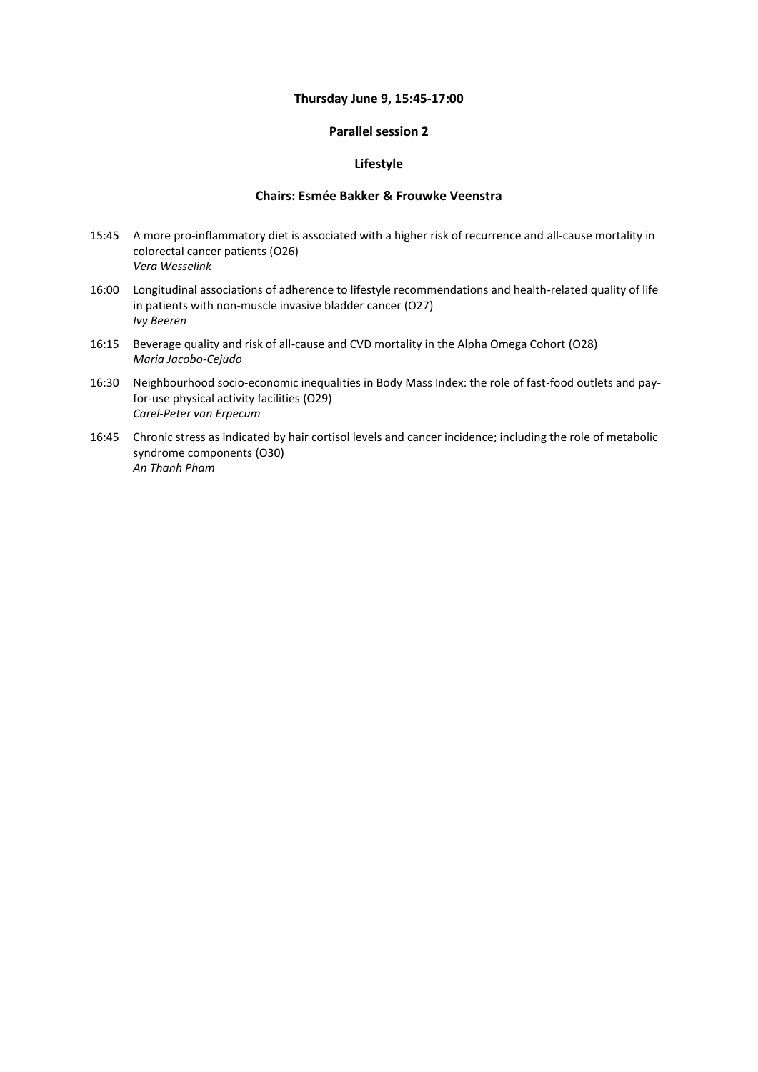#### **Thursday June 9, 15:45-17:00**

#### **Parallel session 2**

### **Lifestyle**

#### **Chairs: Esmée Bakker & Frouwke Veenstra**

- 15:45 A more pro-inflammatory diet is associated with a higher risk of recurrence and all-cause mortality in colorectal cancer patients (O26) *Vera Wesselink*
- 16:00 Longitudinal associations of adherence to lifestyle recommendations and health-related quality of life in patients with non-muscle invasive bladder cancer (O27) *Ivy Beeren*
- 16:15 Beverage quality and risk of all-cause and CVD mortality in the Alpha Omega Cohort (O28) *Maria Jacobo-Cejudo*
- 16:30 Neighbourhood socio-economic inequalities in Body Mass Index: the role of fast-food outlets and payfor-use physical activity facilities (O29) *Carel-Peter van Erpecum*
- 16:45 Chronic stress as indicated by hair cortisol levels and cancer incidence; including the role of metabolic syndrome components (O30) *An Thanh Pham*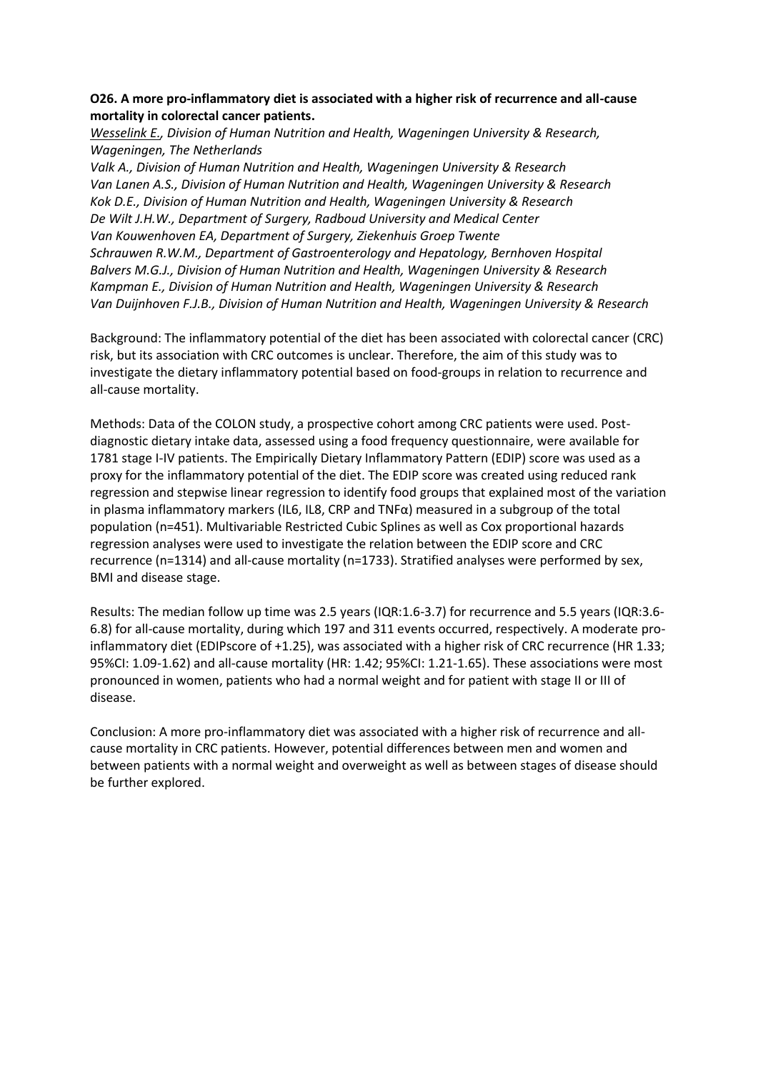## **O26. A more pro-inflammatory diet is associated with a higher risk of recurrence and all-cause mortality in colorectal cancer patients.**

*Wesselink E., Division of Human Nutrition and Health, Wageningen University & Research, Wageningen, The Netherlands*

*Valk A., Division of Human Nutrition and Health, Wageningen University & Research Van Lanen A.S., Division of Human Nutrition and Health, Wageningen University & Research Kok D.E., Division of Human Nutrition and Health, Wageningen University & Research De Wilt J.H.W., Department of Surgery, Radboud University and Medical Center Van Kouwenhoven EA, Department of Surgery, Ziekenhuis Groep Twente Schrauwen R.W.M., Department of Gastroenterology and Hepatology, Bernhoven Hospital Balvers M.G.J., Division of Human Nutrition and Health, Wageningen University & Research Kampman E., Division of Human Nutrition and Health, Wageningen University & Research Van Duijnhoven F.J.B., Division of Human Nutrition and Health, Wageningen University & Research*

Background: The inflammatory potential of the diet has been associated with colorectal cancer (CRC) risk, but its association with CRC outcomes is unclear. Therefore, the aim of this study was to investigate the dietary inflammatory potential based on food-groups in relation to recurrence and all-cause mortality.

Methods: Data of the COLON study, a prospective cohort among CRC patients were used. Postdiagnostic dietary intake data, assessed using a food frequency questionnaire, were available for 1781 stage I-IV patients. The Empirically Dietary Inflammatory Pattern (EDIP) score was used as a proxy for the inflammatory potential of the diet. The EDIP score was created using reduced rank regression and stepwise linear regression to identify food groups that explained most of the variation in plasma inflammatory markers (IL6, IL8, CRP and  $TNF\alpha$ ) measured in a subgroup of the total population (n=451). Multivariable Restricted Cubic Splines as well as Cox proportional hazards regression analyses were used to investigate the relation between the EDIP score and CRC recurrence (n=1314) and all-cause mortality (n=1733). Stratified analyses were performed by sex, BMI and disease stage.

Results: The median follow up time was 2.5 years (IQR:1.6-3.7) for recurrence and 5.5 years (IQR:3.6- 6.8) for all-cause mortality, during which 197 and 311 events occurred, respectively. A moderate proinflammatory diet (EDIPscore of +1.25), was associated with a higher risk of CRC recurrence (HR 1.33; 95%CI: 1.09-1.62) and all-cause mortality (HR: 1.42; 95%CI: 1.21-1.65). These associations were most pronounced in women, patients who had a normal weight and for patient with stage II or III of disease.

Conclusion: A more pro-inflammatory diet was associated with a higher risk of recurrence and allcause mortality in CRC patients. However, potential differences between men and women and between patients with a normal weight and overweight as well as between stages of disease should be further explored.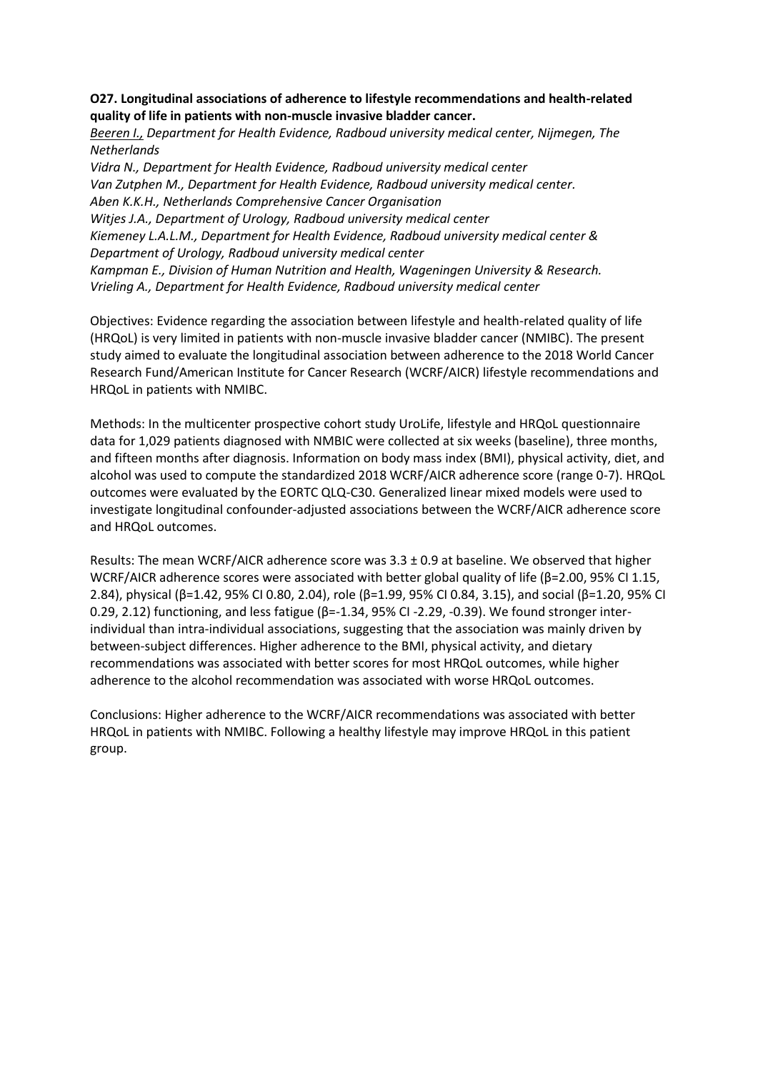## **O27. Longitudinal associations of adherence to lifestyle recommendations and health-related quality of life in patients with non-muscle invasive bladder cancer.**

*Beeren I., Department for Health Evidence, Radboud university medical center, Nijmegen, The Netherlands Vidra N., Department for Health Evidence, Radboud university medical center*

*Van Zutphen M., Department for Health Evidence, Radboud university medical center. Aben K.K.H., Netherlands Comprehensive Cancer Organisation Witjes J.A., Department of Urology, Radboud university medical center Kiemeney L.A.L.M., Department for Health Evidence, Radboud university medical center & Department of Urology, Radboud university medical center Kampman E., Division of Human Nutrition and Health, Wageningen University & Research. Vrieling A., Department for Health Evidence, Radboud university medical center*

Objectives: Evidence regarding the association between lifestyle and health-related quality of life (HRQoL) is very limited in patients with non-muscle invasive bladder cancer (NMIBC). The present study aimed to evaluate the longitudinal association between adherence to the 2018 World Cancer Research Fund/American Institute for Cancer Research (WCRF/AICR) lifestyle recommendations and HRQoL in patients with NMIBC.

Methods: In the multicenter prospective cohort study UroLife, lifestyle and HRQoL questionnaire data for 1,029 patients diagnosed with NMBIC were collected at six weeks (baseline), three months, and fifteen months after diagnosis. Information on body mass index (BMI), physical activity, diet, and alcohol was used to compute the standardized 2018 WCRF/AICR adherence score (range 0-7). HRQoL outcomes were evaluated by the EORTC QLQ-C30. Generalized linear mixed models were used to investigate longitudinal confounder-adjusted associations between the WCRF/AICR adherence score and HRQoL outcomes.

Results: The mean WCRF/AICR adherence score was  $3.3 \pm 0.9$  at baseline. We observed that higher WCRF/AICR adherence scores were associated with better global quality of life (β=2.00, 95% CI 1.15, 2.84), physical (β=1.42, 95% CI 0.80, 2.04), role (β=1.99, 95% CI 0.84, 3.15), and social (β=1.20, 95% CI 0.29, 2.12) functioning, and less fatigue (β=-1.34, 95% CI -2.29, -0.39). We found stronger interindividual than intra-individual associations, suggesting that the association was mainly driven by between-subject differences. Higher adherence to the BMI, physical activity, and dietary recommendations was associated with better scores for most HRQoL outcomes, while higher adherence to the alcohol recommendation was associated with worse HRQoL outcomes.

Conclusions: Higher adherence to the WCRF/AICR recommendations was associated with better HRQoL in patients with NMIBC. Following a healthy lifestyle may improve HRQoL in this patient group.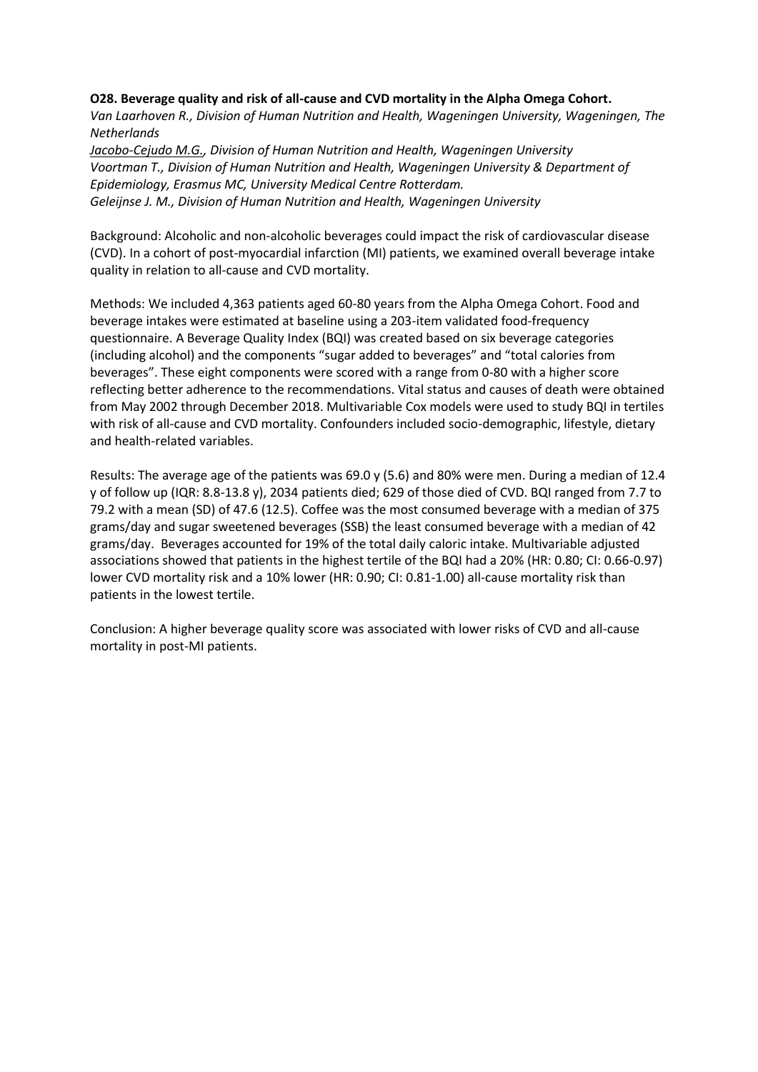#### **O28. Beverage quality and risk of all-cause and CVD mortality in the Alpha Omega Cohort.**

*Van Laarhoven R., Division of Human Nutrition and Health, Wageningen University, Wageningen, The Netherlands*

*Jacobo-Cejudo M.G., Division of Human Nutrition and Health, Wageningen University Voortman T., Division of Human Nutrition and Health, Wageningen University & Department of Epidemiology, Erasmus MC, University Medical Centre Rotterdam. Geleijnse J. M., Division of Human Nutrition and Health, Wageningen University*

Background: Alcoholic and non-alcoholic beverages could impact the risk of cardiovascular disease (CVD). In a cohort of post-myocardial infarction (MI) patients, we examined overall beverage intake quality in relation to all-cause and CVD mortality.

Methods: We included 4,363 patients aged 60-80 years from the Alpha Omega Cohort. Food and beverage intakes were estimated at baseline using a 203-item validated food-frequency questionnaire. A Beverage Quality Index (BQI) was created based on six beverage categories (including alcohol) and the components "sugar added to beverages" and "total calories from beverages". These eight components were scored with a range from 0-80 with a higher score reflecting better adherence to the recommendations. Vital status and causes of death were obtained from May 2002 through December 2018. Multivariable Cox models were used to study BQI in tertiles with risk of all-cause and CVD mortality. Confounders included socio-demographic, lifestyle, dietary and health-related variables.

Results: The average age of the patients was 69.0 y (5.6) and 80% were men. During a median of 12.4 y of follow up (IQR: 8.8-13.8 y), 2034 patients died; 629 of those died of CVD. BQI ranged from 7.7 to 79.2 with a mean (SD) of 47.6 (12.5). Coffee was the most consumed beverage with a median of 375 grams/day and sugar sweetened beverages (SSB) the least consumed beverage with a median of 42 grams/day. Beverages accounted for 19% of the total daily caloric intake. Multivariable adjusted associations showed that patients in the highest tertile of the BQI had a 20% (HR: 0.80; CI: 0.66-0.97) lower CVD mortality risk and a 10% lower (HR: 0.90; CI: 0.81-1.00) all-cause mortality risk than patients in the lowest tertile.

Conclusion: A higher beverage quality score was associated with lower risks of CVD and all-cause mortality in post-MI patients.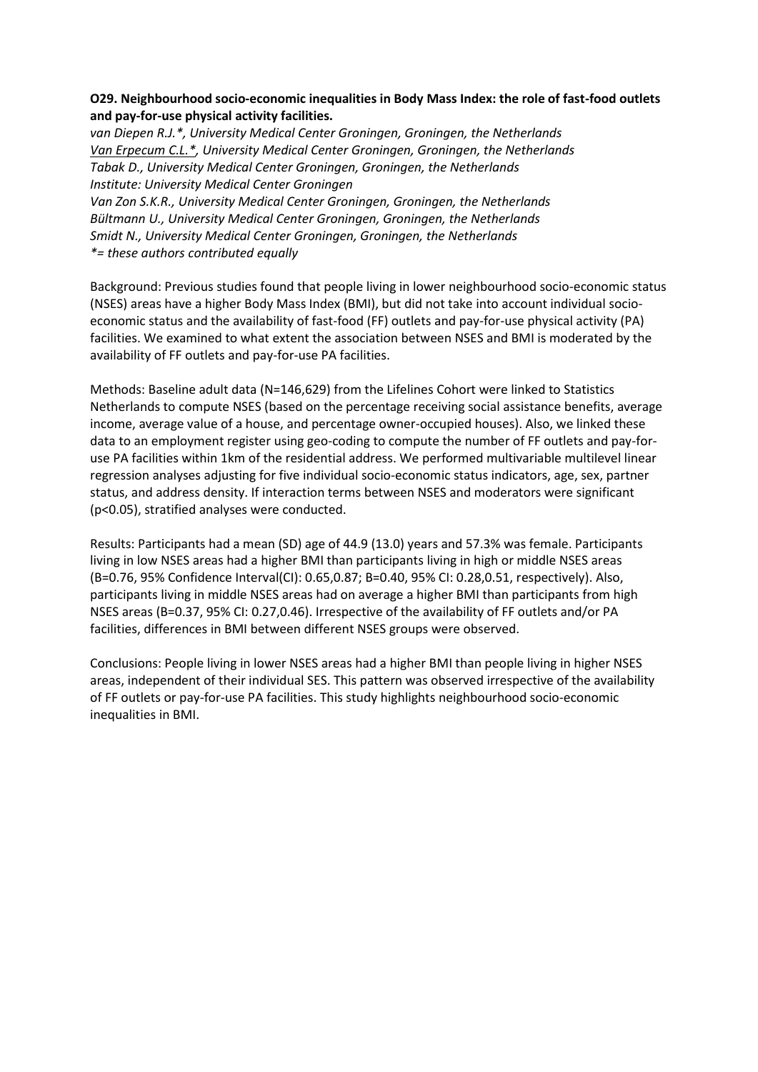## **O29. Neighbourhood socio-economic inequalities in Body Mass Index: the role of fast-food outlets and pay-for-use physical activity facilities.**

*van Diepen R.J.\*, University Medical Center Groningen, Groningen, the Netherlands Van Erpecum C.L.\*, University Medical Center Groningen, Groningen, the Netherlands Tabak D., University Medical Center Groningen, Groningen, the Netherlands Institute: University Medical Center Groningen*

*Van Zon S.K.R., University Medical Center Groningen, Groningen, the Netherlands Bültmann U., University Medical Center Groningen, Groningen, the Netherlands Smidt N., University Medical Center Groningen, Groningen, the Netherlands \*= these authors contributed equally*

Background: Previous studies found that people living in lower neighbourhood socio-economic status (NSES) areas have a higher Body Mass Index (BMI), but did not take into account individual socioeconomic status and the availability of fast-food (FF) outlets and pay-for-use physical activity (PA) facilities. We examined to what extent the association between NSES and BMI is moderated by the availability of FF outlets and pay-for-use PA facilities.

Methods: Baseline adult data (N=146,629) from the Lifelines Cohort were linked to Statistics Netherlands to compute NSES (based on the percentage receiving social assistance benefits, average income, average value of a house, and percentage owner-occupied houses). Also, we linked these data to an employment register using geo-coding to compute the number of FF outlets and pay-foruse PA facilities within 1km of the residential address. We performed multivariable multilevel linear regression analyses adjusting for five individual socio-economic status indicators, age, sex, partner status, and address density. If interaction terms between NSES and moderators were significant (p<0.05), stratified analyses were conducted.

Results: Participants had a mean (SD) age of 44.9 (13.0) years and 57.3% was female. Participants living in low NSES areas had a higher BMI than participants living in high or middle NSES areas (B=0.76, 95% Confidence Interval(CI): 0.65,0.87; B=0.40, 95% CI: 0.28,0.51, respectively). Also, participants living in middle NSES areas had on average a higher BMI than participants from high NSES areas (B=0.37, 95% CI: 0.27,0.46). Irrespective of the availability of FF outlets and/or PA facilities, differences in BMI between different NSES groups were observed.

Conclusions: People living in lower NSES areas had a higher BMI than people living in higher NSES areas, independent of their individual SES. This pattern was observed irrespective of the availability of FF outlets or pay-for-use PA facilities. This study highlights neighbourhood socio-economic inequalities in BMI.